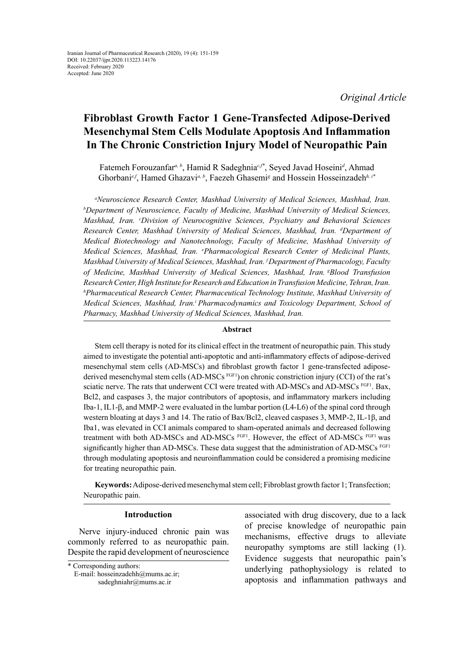*Original Article*

# **[Fibroblast Growth Factor 1 Gene-Transfected Adipose-Derived](http://onlinelibrary.wiley.com/doi/10.1002/hep.22236/full) [Mesenchymal Stem Cells Modulate Apoptosis](http://onlinelibrary.wiley.com/doi/10.1002/hep.22236/full) And Inflammation In The [Chronic Constriction Injury Model](http://www.sciencedirect.com/science/article/pii/S0304395999001694) of Neuropathic Pain**

Fatemeh Forouzanfar*a, b*, Hamid R Sadeghnia*c,f\**, Seyed Javad Hoseini*<sup>d</sup>* , Ahmad Ghorbani<sup>e,f</sup>, Hamed Ghazavi<sup>*a, b*</sup>, Faezeh Ghasemi<sup>g</sup> and Hossein Hosseinzadeh<sup>h, i\*</sup>

<sup>a</sup> Neuroscience Research Center, Mashhad University of Medical Sciences, Mashhad, Iran.<br>b Department of Neuroscience, Faculty of Medicine, Mashhad University of Medical Sciences *<sup>b</sup>Department of Neuroscience, Faculty of Medicine, Mashhad University of Medical Sciences, Mashhad, Iran. c Division of Neurocognitive Sciences, Psychiatry and Behavioral Sciences Research Center, Mashhad University of Medical Sciences, Mashhad, Iran. d Department of Medical Biotechnology and Nanotechnology, Faculty of Medicine, Mashhad University of Medical Sciences, Mashhad, Iran. e Pharmacological Research Center of Medicinal Plants, Mashhad University of Medical Sciences, Mashhad, Iran. f Department of Pharmacology, Faculty of Medicine, Mashhad University of Medical Sciences, Mashhad, Iran. gBlood Transfusion Research Center, High Institute for Research and Education in Transfusion Medicine, Tehran, Iran. h Pharmaceutical Research Center, Pharmaceutical Technology Institute, Mashhad University of Medical Sciences, Mashhad, Iran.i Pharmacodynamics and Toxicology Department, School of Pharmacy, Mashhad University of Medical Sciences, Mashhad, Iran.*

## **Abstract**

Stem cell therapy is noted for its clinical effect in the treatment of neuropathic pain. This study aimed to investigate the potential anti-apoptotic and anti-inflammatory effects of adipose-derived mesenchymal stem cells (AD-MSCs) and fibroblast growth factor 1 gene-transfected adiposederived mesenchymal stem cells (AD-MSCs<sup>FGF1</sup>) on chronic constriction injury (CCI) of the rat's sciatic nerve. The rats that underwent CCI were treated with AD-MSCs and AD-MSCs FGF1. Bax, Bcl2, and caspases 3, the major contributors of apoptosis, and inflammatory markers including Iba-1, IL1-β, and MMP-2 were evaluated in the lumbar portion (L4-L6) of the spinal cord through western bloating at days 3 and 14. The ratio of Bax/Bcl2, cleaved caspases 3, MMP-2, IL-1β, and Iba1, was elevated in CCI animals compared to sham-operated animals and decreased following treatment with both AD-MSCs and AD-MSCs FGF1. However, the effect of AD-MSCs FGF1 was significantly higher than AD-MSCs. These data suggest that the administration of AD-MSCs FGF1 through modulating apoptosis and neuroinflammation could be considered a promising medicine for treating neuropathic pain.

**Keywords:** Adipose-derived mesenchymal stem cell; Fibroblast growth factor 1; Transfection; Neuropathic pain.

# **Introduction**

Nerve injury-induced chronic pain was commonly referred to as neuropathic pain. Despite the rapid development of neuroscience associated with drug discovery, due to a lack of precise knowledge of neuropathic pain mechanisms, effective drugs to alleviate neuropathy symptoms are still lacking (1). Evidence suggests that neuropathic pain's underlying pathophysiology is related to apoptosis and inflammation pathways and

<sup>\*</sup> Corresponding authors:

E-mail: [hosseinzadehh@mums.ac.ir](mailto:hosseinzadehh@mums.ac.ir); sadeghniahr@mums.ac.ir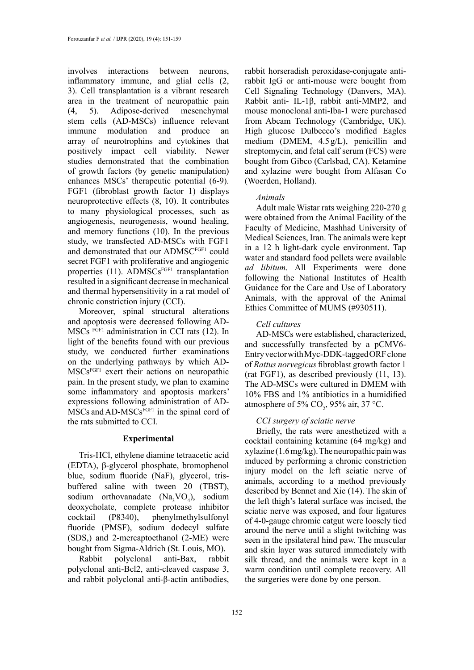involves interactions between neurons, inflammatory immune, and glial cells (2, 3). Cell transplantation is a vibrant research area in the treatment of neuropathic pain (4, 5). Adipose-derived mesenchymal stem cells (AD-MSCs) influence relevant immune modulation and produce an array of neurotrophins and cytokines that positively impact cell viability. Newer studies demonstrated that the combination of growth factors (by genetic manipulation) enhances MSCs' therapeutic potential (6-9). FGF1 (fibroblast growth factor 1) displays neuroprotective effects (8, 10). It contributes to many physiological processes, such as angiogenesis, neurogenesis, wound healing, and memory functions (10). In the previous study, we transfected AD-MSCs with FGF1 and demonstrated that our ADMSCFGF1 could secret FGF1 with proliferative and angiogenic properties  $(11)$ . ADMSCs<sup>FGF1</sup> transplantation resulted in a significant decrease in mechanical and thermal hypersensitivity in a rat model of chronic constriction injury (CCI).

Moreover, spinal structural alterations and apoptosis were decreased following AD-MSCs FGF1 administration in CCI rats (12). In light of the benefits found with our previous study, we conducted further examinations on the underlying pathways by which AD-MSCsFGF1 exert their actions on neuropathic pain. In the present study, we plan to examine some inflammatory and apoptosis markers' expressions following administration of AD- $MSCs$  and  $AD-MSCs<sup>FGF1</sup>$  in the spinal cord of the rats submitted to CCI.

## **Experimental**

Tris-HCl, ethylene diamine tetraacetic acid (EDTA), β-glycerol phosphate, bromophenol blue, sodium fluoride (NaF), glycerol, trisbuffered saline with tween 20 (TBST), sodium orthovanadate  $(Na<sub>3</sub>VO<sub>4</sub>)$ , sodium deoxycholate, complete protease inhibitor cocktail (P8340), phenylmethylsulfonyl fluoride (PMSF), sodium dodecyl sulfate (SDS,) and 2-mercaptoethanol (2-ME) were bought from Sigma-Aldrich (St. Louis, MO).

Rabbit polyclonal anti-Bax, rabbit polyclonal anti-Bcl2, anti-cleaved caspase 3, and rabbit polyclonal anti-β-actin antibodies,

rabbit horseradish peroxidase-conjugate antirabbit IgG or anti-mouse were bought from Cell Signaling Technology (Danvers, MA). Rabbit anti- IL-1β, rabbit anti-MMP2, and mouse monoclonal anti-Iba-1 were purchased from Abcam Technology (Cambridge, UK). High glucose Dulbecco's modified Eagles medium (DMEM, 4.5 g/L), penicillin and streptomycin, and fetal calf serum (FCS) were bought from Gibco (Carlsbad, CA). Ketamine and xylazine were bought from Alfasan Co (Woerden, Holland).

## *Animals*

Adult male Wistar rats weighing 220-270 g were obtained from the Animal Facility of the Faculty of Medicine, Mashhad University of Medical Sciences, Iran. The animals were kept in a 12 h light-dark cycle environment. Tap water and standard food pellets were available *ad libitum*. All Experiments were done following the National Institutes of Health Guidance for the Care and Use of Laboratory Animals, with the approval of the Animal Ethics Committee of MUMS (#930511).

## *Cell cultures*

AD-MSCs were established, characterized, and successfully transfected by a pCMV6- Entry vector with Myc-DDK-tagged ORF clone of *Rattus norvegicus* fibroblast growth factor 1 (rat FGF1), as described previously (11, 13). The AD-MSCs were cultured in DMEM with 10% FBS and 1% antibiotics in a humidified atmosphere of 5%  $CO_2$ , 95% air, 37 °C.

## *CCI surgery of sciatic nerve*

Briefly, the rats were anesthetized with a cocktail containing ketamine (64 mg/kg) and xylazine (1.6 mg/kg). The neuropathic pain was induced by performing a chronic constriction injury model on the left sciatic nerve of animals, according to a method previously described by Bennet and Xie (14). The skin of the left thigh's lateral surface was incised, the sciatic nerve was exposed, and four ligatures of 4-0-gauge chromic catgut were loosely tied around the nerve until a slight twitching was seen in the ipsilateral hind paw. The muscular and skin layer was sutured immediately with silk thread, and the animals were kept in a warm condition until complete recovery. All the surgeries were done by one person.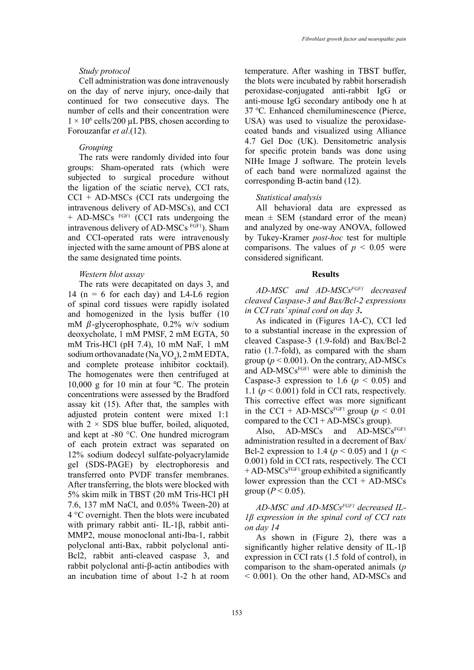## *Study protocol*

Cell administration was done intravenously on the day of nerve injury, once-daily that continued for two consecutive days. The number of cells and their concentration were  $1 \times 10^6$  cells/200 µL PBS, chosen according to Forouzanfar *et al*.(12).

## *Grouping*

The rats were randomly divided into four groups: Sham-operated rats (which were subjected to surgical procedure without the ligation of the sciatic nerve), CCI rats,  $CCI + AD-MSCs$  (CCI rats undergoing the intravenous delivery of AD-MSCs), and CCI + AD-MSCs FGF1 (CCI rats undergoing the intravenous delivery of AD-MSCs FGF1). Sham and CCI-operated rats were intravenously injected with the same amount of PBS alone at the same designated time points.

## *Western blot assay*

The rats were decapitated on days 3, and 14 ( $n = 6$  for each day) and L4-L6 region of spinal cord tissues were rapidly isolated and homogenized in the lysis buffer (10 mM  $\beta$ -glycerophosphate, 0.2% w/v sodium deoxycholate, 1 mM PMSF, 2 mM EGTA, 50 mM Tris-HCl (pH 7.4), 10 mM NaF, 1 mM sodium orthovanadate (Na<sub>3</sub>VO<sub>4</sub>), 2 mM EDTA, and complete protease inhibitor cocktail). The homogenates were then centrifuged at 10,000 g for 10 min at four ℃. The protein concentrations were assessed by the Bradford assay kit (15). After that, the samples with adjusted protein content were mixed 1:1 with  $2 \times$  SDS blue buffer, boiled, aliquoted, and kept at -80 °C. One hundred microgram of each protein extract was separated on 12% sodium dodecyl sulfate-polyacrylamide gel (SDS-PAGE) by electrophoresis and transferred onto PVDF transfer membranes. After transferring, the blots were blocked with 5% skim milk in TBST (20 mM Tris-HCl pH 7.6, 137 mM NaCl, and 0.05% Tween-20) at 4 °C overnight. Then the blots were incubated with primary rabbit anti- IL-1β, rabbit anti-MMP2, mouse monoclonal anti-Iba-1, rabbit polyclonal anti-Bax, rabbit polyclonal anti-Bcl2, rabbit anti-cleaved caspase 3, and rabbit polyclonal anti-β-actin antibodies with an incubation time of about 1-2 h at room

temperature. After washing in TBST buffer, the blots were incubated by rabbit horseradish peroxidase-conjugated anti-rabbit IgG or anti-mouse IgG secondary antibody one h at 37 °C. Enhanced chemiluminescence (Pierce, USA) was used to visualize the peroxidasecoated bands and visualized using Alliance 4.7 Gel Doc (UK). Densitometric analysis for specific protein bands was done using NIHe Image J software. The protein levels of each band were normalized against the corresponding B-actin band (12).

## *Statistical analysis*

All behavioral data are expressed as mean  $\pm$  SEM (standard error of the mean) and analyzed by one-way ANOVA, followed by Tukey-Kramer *post-hoc* test for multiple comparisons. The values of  $p < 0.05$  were considered significant.

#### **Results**

*AD-MSC and AD-MSCsFGF1 decreased cleaved Caspase-3 and Bax/Bcl-2 expressions in CCI rats' spinal cord on day 3***.**

As indicated in (Figures 1A-C), CCI led to a substantial increase in the expression of cleaved Caspase-3 (1.9-fold) and Bax/Bcl-2 ratio (1.7-fold), as compared with the sham group ( $p \le 0.001$ ). On the contrary, AD-MSCs and AD-MSCsFGF1 were able to diminish the Caspase-3 expression to 1.6 ( $p < 0.05$ ) and 1.1 ( $p < 0.001$ ) fold in CCI rats, respectively. This corrective effect was more significant in the CCI + AD-MSCs<sup>FGF1</sup> group ( $p < 0.01$ ) compared to the  $CCI + AD-MSCs$  group).

Also, AD-MSCs and AD-MSCs<sup>FGF1</sup> administration resulted in a decrement of Bax/ Bcl-2 expression to 1.4 ( $p < 0.05$ ) and 1 ( $p <$ 0.001) fold in CCI rats, respectively. The CCI  $+ AD-MSCs<sup>FGF1</sup>$  group exhibited a significantly lower expression than the CCI + AD-MSCs group ( $P < 0.05$ ).

*AD-MSC and AD-MSCsFGF1 decreased IL-1β expression in the spinal cord of CCI rats on day 14*

As shown in (Figure 2), there was a significantly higher relative density of IL-1β expression in CCI rats (1.5 fold of control), in comparison to the sham-operated animals (*p* < 0.001). On the other hand, AD-MSCs and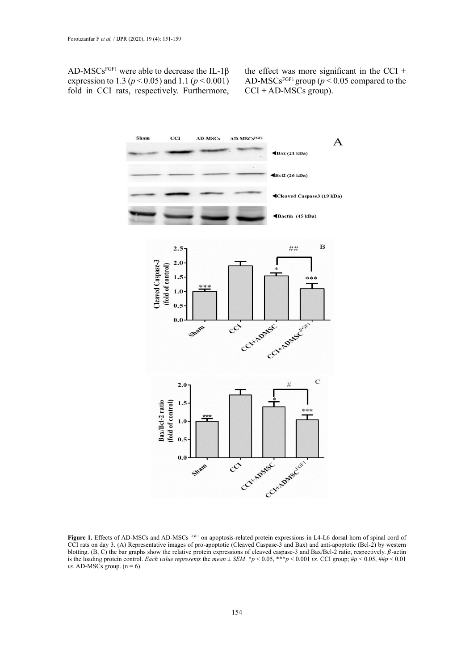AD-MSCs<sup>FGF1</sup> were able to decrease the IL-1 $\beta$ expression to 1.3 (*p* < 0.05) and 1.1 (*p* < 0.001) fold in CCI rats, respectively. Furthermore, the effect was more significant in the CCI  $+$ AD-MSCs<sup>FGF1</sup> group ( $p < 0.05$  compared to the  $CCI + AD-MSCs$  group).



Figure 1. Effects of AD-MSCs and AD-MSCs FGF1 on apoptosis-related protein expressions in L4-L6 dorsal horn of spinal cord of CCI rats on day 3. (A) Representative images of pro-apoptotic (Cleaved Caspase-3 and Bax) and anti-apoptotic (Bcl-2) by western blotting. (B, C) the bar graphs show the relative protein expressions of cleaved caspase-3 and Bax/Bcl-2 ratio, respectively.  $\beta$ -actin is the loading protein control. *Each value represents* the *mean*  $\pm$  *SEM*.  $\ast$ *p* < 0.05,  $\ast\ast$ *p* < 0.001 *vs*. CCI group;  $\sharp$ *p* < 0.05,  $\sharp\sharp$ *p* < 0.01 *vs*. AD-MSCs group.  $(n = 6)$ .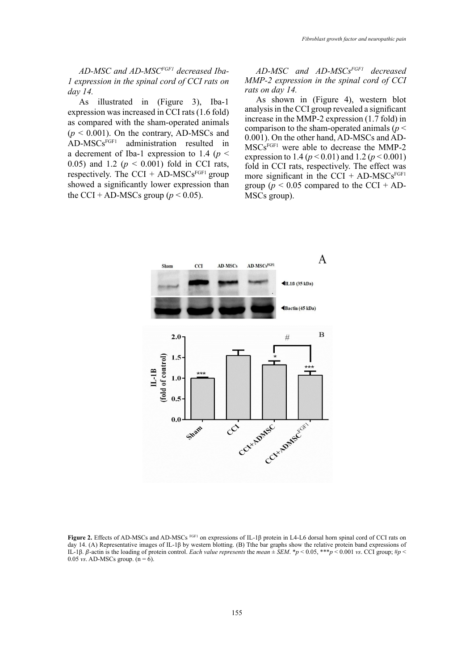*AD-MSC and AD-MSCFGF1 decreased Iba-1 expression in the spinal cord of CCI rats on day 14.*

As illustrated in (Figure 3), Iba-1 expression was increased in CCI rats (1.6 fold) as compared with the sham-operated animals  $(p < 0.001)$ . On the contrary, AD-MSCs and AD-MSCsFGF1 administration resulted in a decrement of Iba-1 expression to 1.4 (*p* < 0.05) and 1.2 (*p* < 0.001) fold in CCI rats, respectively. The CCI + AD-MSCs<sup>FGF1</sup> group showed a significantly lower expression than the CCI + AD-MSCs group ( $p < 0.05$ ).

*AD-MSC and AD-MSCsFGF1 decreased MMP-2 expression in the spinal cord of CCI rats on day 14.*

As shown in (Figure 4), western blot analysis in the CCI group revealed a significant increase in the MMP-2 expression (1.7 fold) in comparison to the sham-operated animals (*p* < 0.001). On the other hand, AD-MSCs and AD-MSCsFGF1 were able to decrease the MMP-2 expression to 1.4 ( $p < 0.01$ ) and 1.2 ( $p < 0.001$ ) fold in CCI rats, respectively. The effect was more significant in the CCI +  $AD\text{-}MSCs<sup>FGF1</sup>$ group ( $p < 0.05$  compared to the CCI + AD-MSCs group).



**Figure 2.** Effects of AD-MSCs and AD-MSCs FGF1 on expressions of IL-1β protein in L4-L6 dorsal horn spinal cord of CCI rats on day 14. (A) Representative images of IL-1β by western blotting. (B) Tthe bar graphs show the relative protein band expressions of IL-1β. β-actin is the loading of protein control. *Each value represents* the  $mean \pm SEM$ , \* $p < 0.05$ , \*\*\* $p < 0.001$  *vs*. CCI group; # $p <$ 0.05 *vs.* AD-MSCs group.  $(n = 6)$ .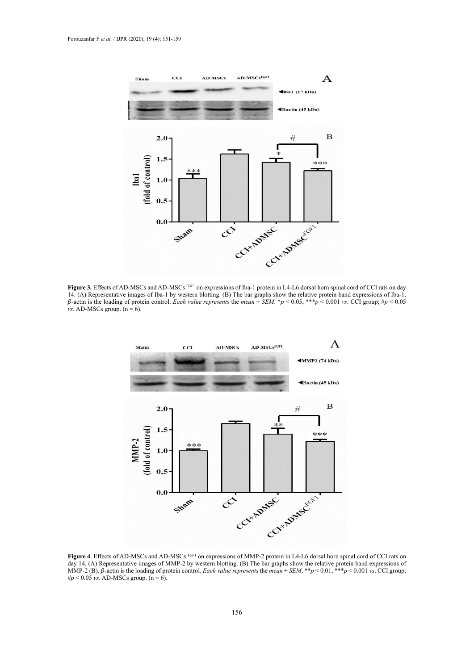

14. (A) Representative images of Iba-1 by western blotting. (B) The bar graphs show the relative protein band expressions of Iba-1.  $\beta$ -actin is the loading of protein control. Each value represents the mean  $\pm$  SEM. \*p < 0.05, \*\*\*p < 0.001 vs. CCI group; #p < 0.05 Figure 3. Effects of AD-MSCs and AD-MSCs FGF1 on expressions of Iba-1 protein in L4-L6 dorsal horn spinal cord of CCI rats on day *vs*. AD-MSCs group. (n = 6).



day 14. (A) Representative images of MMP-2 by western blotting. (B) The bar graphs show the relative protein band expressions of  $\#p < 0.05$  vs. AD-MSCs group. (n = 6). Figure 4. Effects of AD-MSCs and AD-MSCs FGF1 on expressions of MMP-2 protein in L4-L6 dorsal horn spinal cord of CCI rats on MMP-2 (B).  $\beta$ -actin is the loading of protein control. *Each value represents* the *mean*  $\pm$  *SEM*. \*\**p* < 0.01, \*\*\**p* < 0.001 *vs*. CCI group;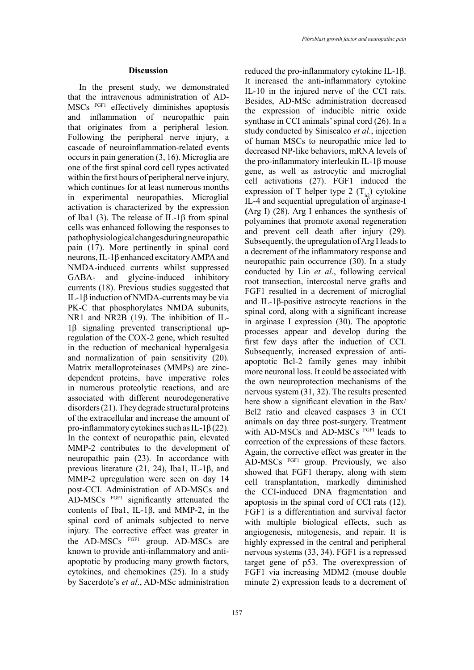In the present study, we demonstrated that the intravenous administration of AD-MSCs FGF1 effectively diminishes apoptosis and inflammation of neuropathic pain that originates from a peripheral lesion. Following the peripheral nerve injury, a cascade of neuroinflammation-related events occurs in pain generation (3, 16). Microglia are one of the first spinal cord cell types activated within the first hours of peripheral nerve injury, which continues for at least numerous months in experimental neuropathies. Microglial activation is characterized by the expression of Iba1 (3). The release of IL-1β from spinal cells was enhanced following the responses to pathophysiological changes during neuropathic pain (17). More pertinently in spinal cord neurons, IL-1β enhanced excitatory AMPA and NMDA-induced currents whilst suppressed GABA- and glycine-induced inhibitory currents (18). Previous studies suggested that IL-1β induction of NMDA-currents may be via PK-C that phosphorylates NMDA subunits, NR1 and NR2B (19). The inhibition of IL-1β signaling prevented transcriptional upregulation of the COX-2 gene, which resulted in the reduction of mechanical hyperalgesia and normalization of pain sensitivity (20). Matrix metalloproteinases (MMPs) are zincdependent proteins, have imperative roles in numerous proteolytic reactions, and are associated with different neurodegenerative disorders (21). They degrade structural proteins of the extracellular and increase the amount of pro-inflammatory cytokines such as IL-1 $\beta$  (22). In the context of neuropathic pain, elevated MMP-2 contributes to the development of neuropathic pain (23). In accordance with previous literature (21, 24), Iba1, IL-1β, and MMP-2 upregulation were seen on day 14 post-CCI. Administration of AD-MSCs and AD-MSCs FGF1 significantly attenuated the contents of Iba1, IL-1β, and MMP-2, in the spinal cord of animals subjected to nerve injury. The corrective effect was greater in the AD-MSCs FGF1 group. AD-MSCs are known to provide anti-inflammatory and antiapoptotic by producing many growth factors, cytokines, and chemokines (25). In a study by Sacerdote's *et al*., AD-MSc administration

reduced the pro-inflammatory cytokine IL-1β. It increased the anti-inflammatory cytokine IL-10 in the injured nerve of the CCI rats. Besides, AD-MSc administration decreased the expression of inducible nitric oxide synthase in CCI animals' spinal cord (26). In a study conducted by Siniscalco *et al*., injection of human MSCs to neuropathic mice led to decreased NP-like behaviors, mRNA levels of the pro-inflammatory interleukin IL-1β mouse gene, as well as astrocytic and microglial cell activations (27). FGF1 induced the expression of T helper type 2  $(T_{b2})$  cytokine IL-4 and sequential upregulation of arginase-I **(**Arg I) (28). Arg I enhances the synthesis of polyamines that promote axonal regeneration and prevent cell death after injury (29). Subsequently, the upregulation of Arg I leads to a decrement of the inflammatory response and neuropathic pain occurrence (30). In a study conducted by Lin *et al*., following cervical root transection, intercostal nerve grafts and FGF1 resulted in a decrement of microglial and IL-1β-positive astrocyte reactions in the spinal cord, along with a significant increase in arginase I expression (30). The apoptotic processes appear and develop during the first few days after the induction of CCI. Subsequently, increased expression of antiapoptotic Bcl-2 family genes may inhibit more neuronal loss. It could be associated with the own neuroprotection mechanisms of the nervous system (31, 32). The results presented here show a significant elevation in the Bax/ Bcl2 ratio and cleaved caspases 3 in CCI animals on day three post-surgery. Treatment with AD-MSCs and AD-MSCs FGF1 leads to correction of the expressions of these factors. Again, the corrective effect was greater in the AD-MSCs FGF1 group. Previously, we also showed that FGF1 therapy, along with stem cell transplantation, markedly diminished the CCI-induced DNA fragmentation and apoptosis in the spinal cord of CCI rats (12). FGF1 is a differentiation and survival factor with multiple biological effects, such as angiogenesis, mitogenesis, and repair. It is highly expressed in the central and peripheral nervous systems (33, 34). FGF1 is a repressed target gene of p53. The overexpression of FGF1 via increasing MDM2 (mouse double minute 2) expression leads to a decrement of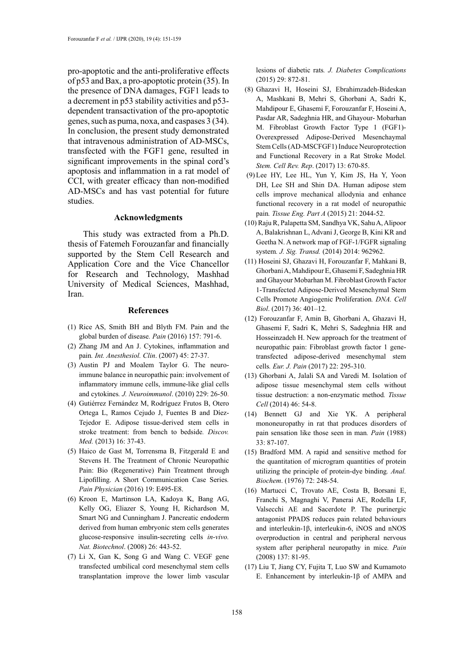pro-apoptotic and the anti-proliferative effects of p53 and Bax, a pro-apoptotic protein (35). In the presence of DNA damages, FGF1 leads to a decrement in p53 stability activities and p53 dependent transactivation of the pro-apoptotic genes, such as puma, noxa, and caspases 3 (34). In conclusion, the present study demonstrated that intravenous administration of AD-MSCs, transfected with the FGF1 gene, resulted in significant improvements in the spinal cord's apoptosis and inflammation in a rat model of CCI, with greater efficacy than non-modified AD-MSCs and has vast potential for future studies.

## **Acknowledgments**

This study was extracted from a Ph.D. thesis of Fatemeh Forouzanfar and financially supported by the Stem Cell Research and Application Core and the Vice Chancellor for Research and Technology, Mashhad University of Medical Sciences, Mashhad, Iran.

## **References**

- (1) Rice AS, Smith BH and Blyth FM. Pain and the global burden of disease*. Pain* (2016) 157: 791-6.
- (2) Zhang JM and An J. Cytokines, inflammation and pain*. Int. Anesthesiol. Clin*. (2007) 45: 27-37.
- (3) Austin PJ and Moalem Taylor G. The neuroimmune balance in neuropathic pain: involvement of inflammatory immune cells, immune-like glial cells and cytokines*. J. Neuroimmunol*. (2010) 229: 26-50.
- (4) Gutiérrez Fernández M, Rodríguez Frutos B, Otero Ortega L, Ramos Cejudo J, Fuentes B and Díez-Tejedor E. Adipose tissue-derived stem cells in stroke treatment: from bench to bedside*. Discov. Med.* (2013) 16: 37-43.
- (5) Haico de Gast M, Torrensma B, Fitzgerald E and Stevens H. The Treatment of Chronic Neuropathic Pain: Bio (Regenerative) Pain Treatment through Lipofilling. A Short Communication Case Series*. Pain Physician* (2016) 19: E495-E8.
- (6) Kroon E, Martinson LA, Kadoya K, Bang AG, Kelly OG, Eliazer S, Young H, Richardson M, Smart NG and Cunningham J. Pancreatic endoderm derived from human embryonic stem cells generates glucose-responsive insulin-secreting cells *in-vivo. Nat. Biotechnol*. (2008) 26: 443-52.
- (7) Li X, Gan K, Song G and Wang C. VEGF gene transfected umbilical cord mesenchymal stem cells transplantation improve the lower limb vascular

lesions of diabetic rats*. J. Diabetes Complications* (2015) 29: 872-81.

- (8) Ghazavi H, Hoseini SJ, Ebrahimzadeh-Bideskan A, Mashkani B, Mehri S, Ghorbani A, Sadri K, Mahdipour E, Ghasemi F, Forouzanfar F, Hoseini A, Pasdar AR, Sadeghnia HR, and Ghayour- Mobarhan M. Fibroblast Growth Factor Type 1 (FGF1)- Overexpressed Adipose-Derived Mesenchaymal Stem Cells (AD-MSCFGF1) Induce Neuroprotection and Functional Recovery in a Rat Stroke Model*. Stem. Cell Rev. Rep*. (2017) 13: 670-85.
- (9) Lee HY, Lee HL, Yun Y, Kim JS, Ha Y, Yoon DH, Lee SH and Shin DA. Human adipose stem cells improve mechanical allodynia and enhance functional recovery in a rat model of neuropathic pain*. Tissue Eng. Part A* (2015) 21: 2044-52.
- (10) Raju R, Palapetta SM, Sandhya VK, Sahu A, Alipoor A, Balakrishnan L, Advani J, George B, Kini KR and Geetha N. A network map of FGF-1/FGFR signaling system*. J. Sig. Transd.* (2014) 2014: 962962.
- (11) Hoseini SJ, Ghazavi H, Forouzanfar F, Mahkani B, Ghorbani A, Mahdipour E, Ghasemi F, Sadeghnia HR and Ghayour Mobarhan M. Fibroblast Growth Factor 1-Transfected Adipose-Derived Mesenchymal Stem Cells Promote Angiogenic Proliferation*. DNA. Cell Biol*. (2017) 36: 401–12.
- (12) Forouzanfar F, Amin B, Ghorbani A, Ghazavi H, Ghasemi F, Sadri K, Mehri S, Sadeghnia HR and Hosseinzadeh H. New approach for the treatment of neuropathic pain: Fibroblast growth factor 1 genetransfected adipose-derived mesenchymal stem cells*. Eur. J. Pain* (2017) 22: 295-310.
- (13) Ghorbani A, Jalali SA and Varedi M. Isolation of adipose tissue mesenchymal stem cells without tissue destruction: a non-enzymatic method*. Tissue Cell* (2014) 46: 54-8.
- (14) Bennett GJ and Xie YK. A peripheral mononeuropathy in rat that produces disorders of pain sensation like those seen in man*. Pain* (1988) 33: 87-107.
- (15) Bradford MM. A rapid and sensitive method for the quantitation of microgram quantities of protein utilizing the principle of protein-dye binding*. Anal. Biochem*. (1976) 72: 248-54.
- (16) Martucci C, Trovato AE, Costa B, Borsani E, Franchi S, Magnaghi V, Panerai AE, Rodella LF, Valsecchi AE and Sacerdote P. The purinergic antagonist PPADS reduces pain related behaviours and interleukin-1β, interleukin-6, iNOS and nNOS overproduction in central and peripheral nervous system after peripheral neuropathy in mice*. Pain* (2008) 137: 81-95.
- (17) Liu T, Jiang CY, Fujita T, Luo SW and Kumamoto E. Enhancement by interleukin-1β of AMPA and